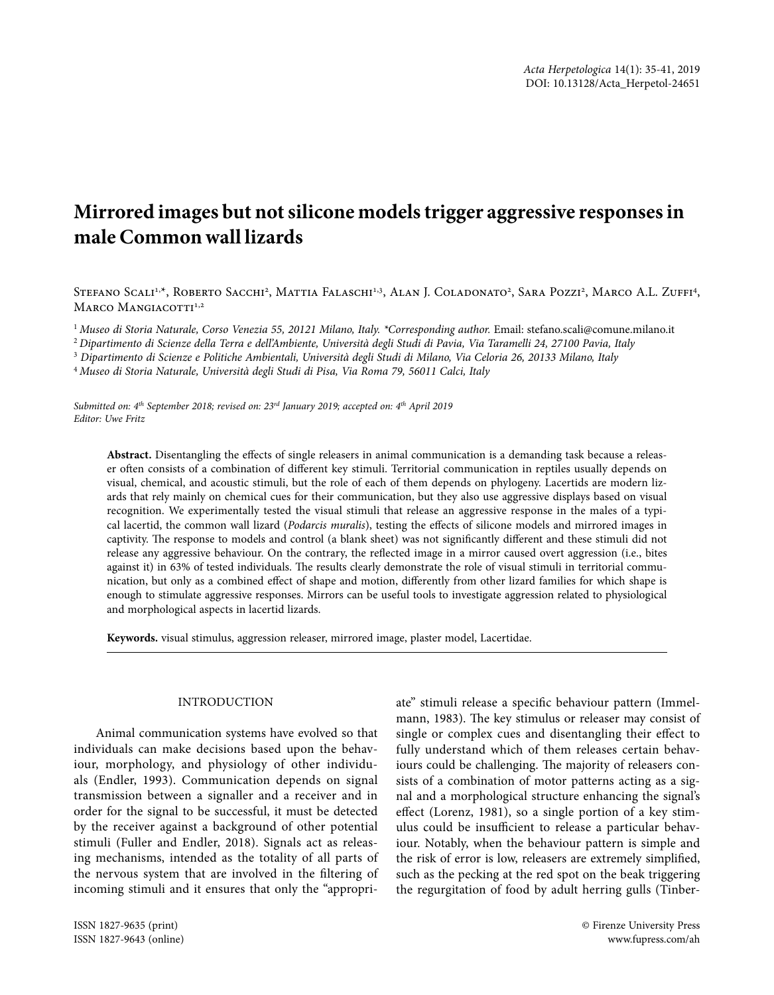# **Mirrored images but not silicone models trigger aggressive responses in male Common wall lizards**

Stefano Scali<sup>1,x</sup>, Roberto Sacchi<sup>2</sup>, Mattia Falaschi<sup>1,3</sup>, Alan J. Coladonato<sup>2</sup>, Sara Pozzi<sup>2</sup>, Marco A.L. Zuffi<sup>4</sup>, MARCO MANGIACOTTI<sup>1,2</sup>

<sup>1</sup> Museo di Storia Naturale, Corso Venezia 55, 20121 Milano, Italy. \*Corresponding author. Email: stefano.scali@comune.milano.it

<sup>2</sup> *Dipartimento di Scienze della Terra e dell'Ambiente, Università degli Studi di Pavia, Via Taramelli 24, 27100 Pavia, Italy*

3  *Dipartimento di Scienze e Politiche Ambientali, Università degli Studi di Milano, Via Celoria 26, 20133 Milano, Italy*

<sup>4</sup> *Museo di Storia Naturale, Università degli Studi di Pisa, Via Roma 79, 56011 Calci, Italy*

*Submitted on: 4th September 2018; revised on: 23rd January 2019; accepted on: 4th April 2019 Editor: Uwe Fritz*

**Abstract.** Disentangling the effects of single releasers in animal communication is a demanding task because a releaser often consists of a combination of different key stimuli. Territorial communication in reptiles usually depends on visual, chemical, and acoustic stimuli, but the role of each of them depends on phylogeny. Lacertids are modern lizards that rely mainly on chemical cues for their communication, but they also use aggressive displays based on visual recognition. We experimentally tested the visual stimuli that release an aggressive response in the males of a typical lacertid, the common wall lizard (*Podarcis muralis*), testing the effects of silicone models and mirrored images in captivity. The response to models and control (a blank sheet) was not significantly different and these stimuli did not release any aggressive behaviour. On the contrary, the reflected image in a mirror caused overt aggression (i.e., bites against it) in 63% of tested individuals. The results clearly demonstrate the role of visual stimuli in territorial communication, but only as a combined effect of shape and motion, differently from other lizard families for which shape is enough to stimulate aggressive responses. Mirrors can be useful tools to investigate aggression related to physiological and morphological aspects in lacertid lizards.

**Keywords.** visual stimulus, aggression releaser, mirrored image, plaster model, Lacertidae.

## INTRODUCTION

Animal communication systems have evolved so that individuals can make decisions based upon the behaviour, morphology, and physiology of other individuals (Endler, 1993). Communication depends on signal transmission between a signaller and a receiver and in order for the signal to be successful, it must be detected by the receiver against a background of other potential stimuli (Fuller and Endler, 2018). Signals act as releasing mechanisms, intended as the totality of all parts of the nervous system that are involved in the filtering of incoming stimuli and it ensures that only the "appropri-

ISSN 1827-9635 (print) © Firenze University Press

ISSN 1827-9643 (online) www.fupress.com/ah

ate" stimuli release a specific behaviour pattern (Immelmann, 1983). The key stimulus or releaser may consist of single or complex cues and disentangling their effect to fully understand which of them releases certain behaviours could be challenging. The majority of releasers consists of a combination of motor patterns acting as a signal and a morphological structure enhancing the signal's effect (Lorenz, 1981), so a single portion of a key stimulus could be insufficient to release a particular behaviour. Notably, when the behaviour pattern is simple and the risk of error is low, releasers are extremely simplified, such as the pecking at the red spot on the beak triggering the regurgitation of food by adult herring gulls (Tinber-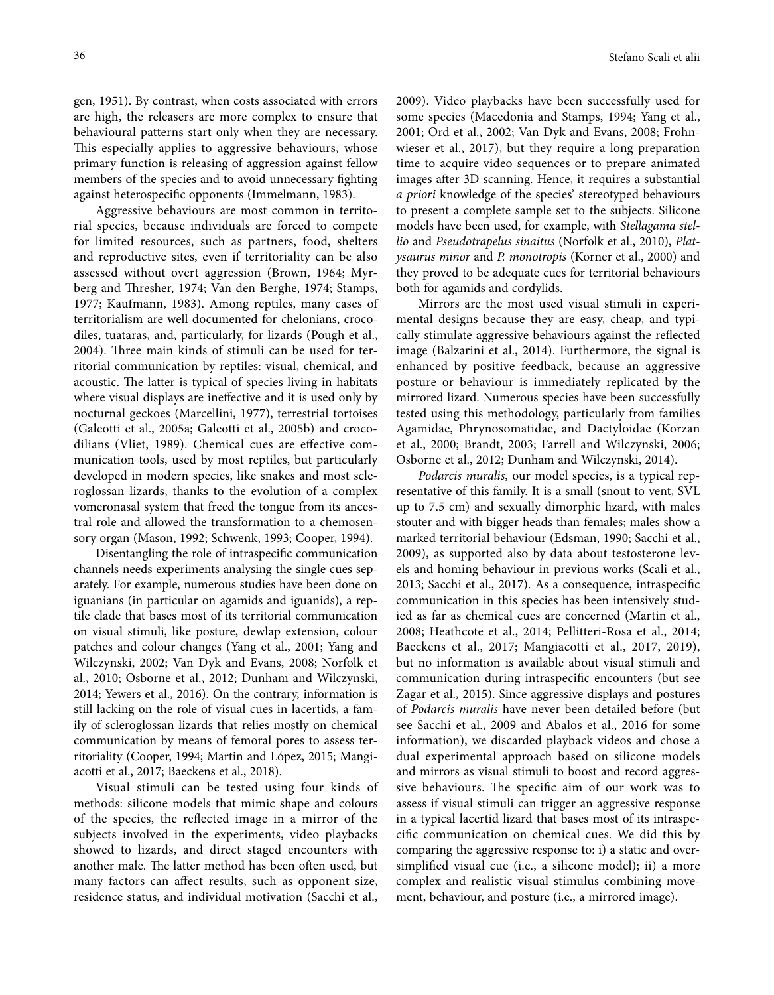gen, 1951). By contrast, when costs associated with errors are high, the releasers are more complex to ensure that behavioural patterns start only when they are necessary. This especially applies to aggressive behaviours, whose primary function is releasing of aggression against fellow members of the species and to avoid unnecessary fighting against heterospecific opponents (Immelmann, 1983).

Aggressive behaviours are most common in territorial species, because individuals are forced to compete for limited resources, such as partners, food, shelters and reproductive sites, even if territoriality can be also assessed without overt aggression (Brown, 1964; Myrberg and Thresher, 1974; Van den Berghe, 1974; Stamps, 1977; Kaufmann, 1983). Among reptiles, many cases of territorialism are well documented for chelonians, crocodiles, tuataras, and, particularly, for lizards (Pough et al., 2004). Three main kinds of stimuli can be used for territorial communication by reptiles: visual, chemical, and acoustic. The latter is typical of species living in habitats where visual displays are ineffective and it is used only by nocturnal geckoes (Marcellini, 1977), terrestrial tortoises (Galeotti et al., 2005a; Galeotti et al., 2005b) and crocodilians (Vliet, 1989). Chemical cues are effective communication tools, used by most reptiles, but particularly developed in modern species, like snakes and most scleroglossan lizards, thanks to the evolution of a complex vomeronasal system that freed the tongue from its ancestral role and allowed the transformation to a chemosensory organ (Mason, 1992; Schwenk, 1993; Cooper, 1994).

Disentangling the role of intraspecific communication channels needs experiments analysing the single cues separately. For example, numerous studies have been done on iguanians (in particular on agamids and iguanids), a reptile clade that bases most of its territorial communication on visual stimuli, like posture, dewlap extension, colour patches and colour changes (Yang et al., 2001; Yang and Wilczynski, 2002; Van Dyk and Evans, 2008; Norfolk et al., 2010; Osborne et al., 2012; Dunham and Wilczynski, 2014; Yewers et al., 2016). On the contrary, information is still lacking on the role of visual cues in lacertids, a family of scleroglossan lizards that relies mostly on chemical communication by means of femoral pores to assess territoriality (Cooper, 1994; Martin and López, 2015; Mangiacotti et al., 2017; Baeckens et al., 2018).

Visual stimuli can be tested using four kinds of methods: silicone models that mimic shape and colours of the species, the reflected image in a mirror of the subjects involved in the experiments, video playbacks showed to lizards, and direct staged encounters with another male. The latter method has been often used, but many factors can affect results, such as opponent size, residence status, and individual motivation (Sacchi et al., 2009). Video playbacks have been successfully used for some species (Macedonia and Stamps, 1994; Yang et al., 2001; Ord et al., 2002; Van Dyk and Evans, 2008; Frohnwieser et al., 2017), but they require a long preparation time to acquire video sequences or to prepare animated images after 3D scanning. Hence, it requires a substantial *a priori* knowledge of the species' stereotyped behaviours to present a complete sample set to the subjects. Silicone models have been used, for example, with *Stellagama stellio* and *Pseudotrapelus sinaitus* (Norfolk et al., 2010), *Platysaurus minor* and *P. monotropis* (Korner et al., 2000) and they proved to be adequate cues for territorial behaviours both for agamids and cordylids.

Mirrors are the most used visual stimuli in experimental designs because they are easy, cheap, and typically stimulate aggressive behaviours against the reflected image (Balzarini et al., 2014). Furthermore, the signal is enhanced by positive feedback, because an aggressive posture or behaviour is immediately replicated by the mirrored lizard. Numerous species have been successfully tested using this methodology, particularly from families Agamidae, Phrynosomatidae, and Dactyloidae (Korzan et al., 2000; Brandt, 2003; Farrell and Wilczynski, 2006; Osborne et al., 2012; Dunham and Wilczynski, 2014).

*Podarcis muralis*, our model species, is a typical representative of this family. It is a small (snout to vent, SVL up to 7.5 cm) and sexually dimorphic lizard, with males stouter and with bigger heads than females; males show a marked territorial behaviour (Edsman, 1990; Sacchi et al., 2009), as supported also by data about testosterone levels and homing behaviour in previous works (Scali et al., 2013; Sacchi et al., 2017). As a consequence, intraspecific communication in this species has been intensively studied as far as chemical cues are concerned (Martin et al., 2008; Heathcote et al., 2014; Pellitteri-Rosa et al., 2014; Baeckens et al., 2017; Mangiacotti et al., 2017, 2019), but no information is available about visual stimuli and communication during intraspecific encounters (but see Zagar et al., 2015). Since aggressive displays and postures of *Podarcis muralis* have never been detailed before (but see Sacchi et al., 2009 and Abalos et al., 2016 for some information), we discarded playback videos and chose a dual experimental approach based on silicone models and mirrors as visual stimuli to boost and record aggressive behaviours. The specific aim of our work was to assess if visual stimuli can trigger an aggressive response in a typical lacertid lizard that bases most of its intraspecific communication on chemical cues. We did this by comparing the aggressive response to: i) a static and oversimplified visual cue (i.e., a silicone model); ii) a more complex and realistic visual stimulus combining movement, behaviour, and posture (i.e., a mirrored image).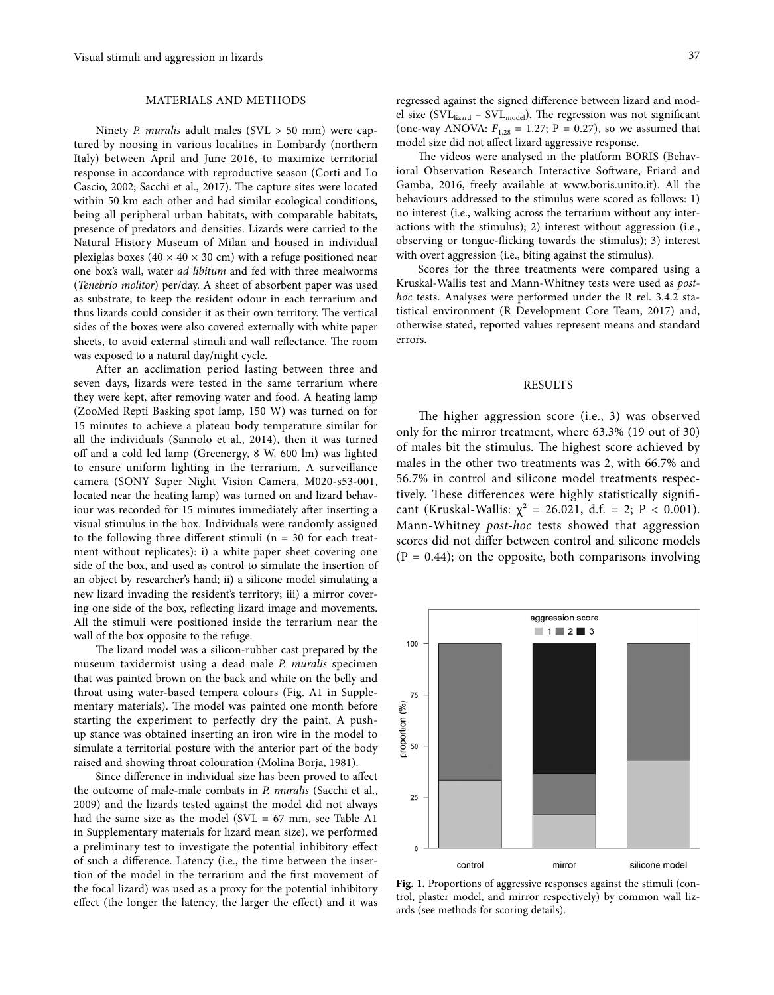## MATERIALS AND METHODS

Ninety *P. muralis* adult males (SVL > 50 mm) were captured by noosing in various localities in Lombardy (northern Italy) between April and June 2016, to maximize territorial response in accordance with reproductive season (Corti and Lo Cascio, 2002; Sacchi et al., 2017). The capture sites were located within 50 km each other and had similar ecological conditions, being all peripheral urban habitats, with comparable habitats, presence of predators and densities. Lizards were carried to the Natural History Museum of Milan and housed in individual plexiglas boxes (40  $\times$  40  $\times$  30 cm) with a refuge positioned near one box's wall, water *ad libitum* and fed with three mealworms (*Tenebrio molitor*) per/day. A sheet of absorbent paper was used as substrate, to keep the resident odour in each terrarium and thus lizards could consider it as their own territory. The vertical sides of the boxes were also covered externally with white paper sheets, to avoid external stimuli and wall reflectance. The room was exposed to a natural day/night cycle.

After an acclimation period lasting between three and seven days, lizards were tested in the same terrarium where they were kept, after removing water and food. A heating lamp (ZooMed Repti Basking spot lamp, 150 W) was turned on for 15 minutes to achieve a plateau body temperature similar for all the individuals (Sannolo et al., 2014), then it was turned off and a cold led lamp (Greenergy, 8 W, 600 lm) was lighted to ensure uniform lighting in the terrarium. A surveillance camera (SONY Super Night Vision Camera, M020-s53-001, located near the heating lamp) was turned on and lizard behaviour was recorded for 15 minutes immediately after inserting a visual stimulus in the box. Individuals were randomly assigned to the following three different stimuli ( $n = 30$  for each treatment without replicates): i) a white paper sheet covering one side of the box, and used as control to simulate the insertion of an object by researcher's hand; ii) a silicone model simulating a new lizard invading the resident's territory; iii) a mirror covering one side of the box, reflecting lizard image and movements. All the stimuli were positioned inside the terrarium near the wall of the box opposite to the refuge.

The lizard model was a silicon-rubber cast prepared by the museum taxidermist using a dead male *P. muralis* specimen that was painted brown on the back and white on the belly and throat using water-based tempera colours (Fig. A1 in Supplementary materials). The model was painted one month before starting the experiment to perfectly dry the paint. A pushup stance was obtained inserting an iron wire in the model to simulate a territorial posture with the anterior part of the body raised and showing throat colouration (Molina Borja, 1981).

Since difference in individual size has been proved to affect the outcome of male-male combats in *P. muralis* (Sacchi et al., 2009) and the lizards tested against the model did not always had the same size as the model (SVL =  $67$  mm, see Table A1 in Supplementary materials for lizard mean size), we performed a preliminary test to investigate the potential inhibitory effect of such a difference. Latency (i.e., the time between the insertion of the model in the terrarium and the first movement of the focal lizard) was used as a proxy for the potential inhibitory effect (the longer the latency, the larger the effect) and it was regressed against the signed difference between lizard and model size ( $SVL<sub>lized</sub> - SVL<sub>model</sub>$ ). The regression was not significant (one-way ANOVA:  $F_{1,28} = 1.27$ ;  $P = 0.27$ ), so we assumed that model size did not affect lizard aggressive response.

The videos were analysed in the platform BORIS (Behavioral Observation Research Interactive Software, Friard and Gamba, 2016, freely available at www.boris.unito.it). All the behaviours addressed to the stimulus were scored as follows: 1) no interest (i.e., walking across the terrarium without any interactions with the stimulus); 2) interest without aggression (i.e., observing or tongue-flicking towards the stimulus); 3) interest with overt aggression (i.e., biting against the stimulus).

Scores for the three treatments were compared using a Kruskal-Wallis test and Mann-Whitney tests were used as *posthoc* tests. Analyses were performed under the R rel. 3.4.2 statistical environment (R Development Core Team, 2017) and, otherwise stated, reported values represent means and standard errors.

#### RESULTS

The higher aggression score (i.e., 3) was observed only for the mirror treatment, where 63.3% (19 out of 30) of males bit the stimulus. The highest score achieved by males in the other two treatments was 2, with 66.7% and 56.7% in control and silicone model treatments respectively. These differences were highly statistically significant (Kruskal-Wallis:  $\chi^2 = 26.021$ , d.f. = 2; P < 0.001). Mann-Whitney *post-hoc* tests showed that aggression scores did not differ between control and silicone models  $(P = 0.44)$ ; on the opposite, both comparisons involving



**Fig. 1.** Proportions of aggressive responses against the stimuli (control, plaster model, and mirror respectively) by common wall lizards (see methods for scoring details).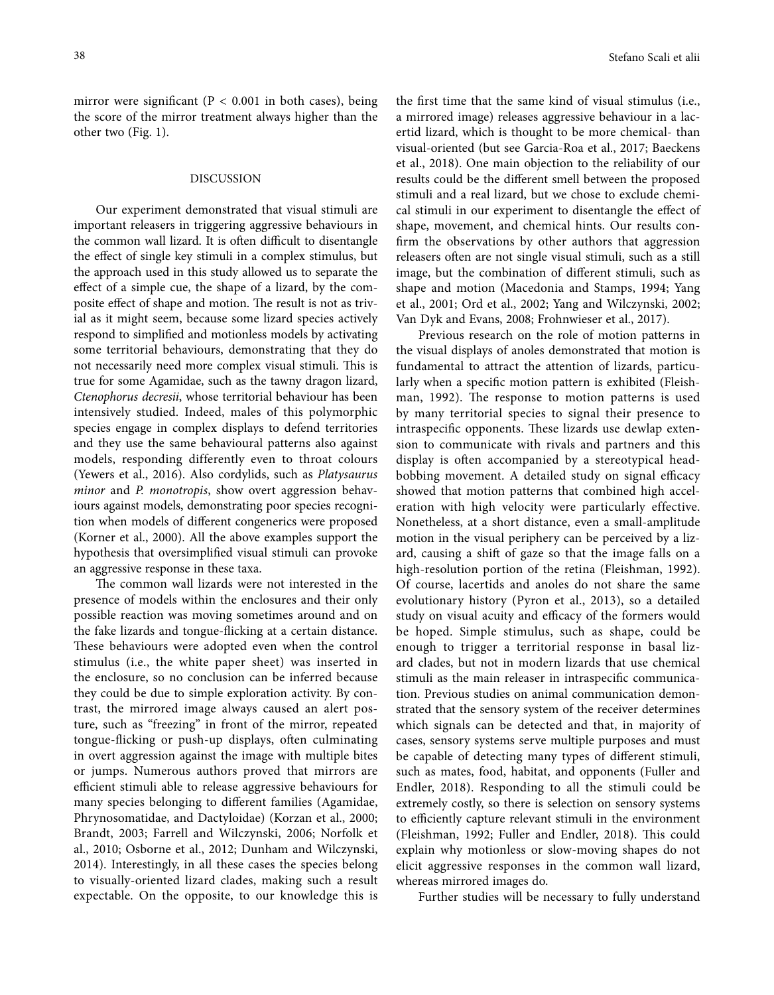mirror were significant (P *<* 0.001 in both cases), being the score of the mirror treatment always higher than the other two (Fig. 1).

## DISCUSSION

Our experiment demonstrated that visual stimuli are important releasers in triggering aggressive behaviours in the common wall lizard. It is often difficult to disentangle the effect of single key stimuli in a complex stimulus, but the approach used in this study allowed us to separate the effect of a simple cue, the shape of a lizard, by the composite effect of shape and motion. The result is not as trivial as it might seem, because some lizard species actively respond to simplified and motionless models by activating some territorial behaviours, demonstrating that they do not necessarily need more complex visual stimuli. This is true for some Agamidae, such as the tawny dragon lizard, *Ctenophorus decresii*, whose territorial behaviour has been intensively studied. Indeed, males of this polymorphic species engage in complex displays to defend territories and they use the same behavioural patterns also against models, responding differently even to throat colours (Yewers et al., 2016). Also cordylids, such as *Platysaurus minor* and *P. monotropis*, show overt aggression behaviours against models, demonstrating poor species recognition when models of different congenerics were proposed (Korner et al., 2000). All the above examples support the hypothesis that oversimplified visual stimuli can provoke an aggressive response in these taxa.

The common wall lizards were not interested in the presence of models within the enclosures and their only possible reaction was moving sometimes around and on the fake lizards and tongue-flicking at a certain distance. These behaviours were adopted even when the control stimulus (i.e., the white paper sheet) was inserted in the enclosure, so no conclusion can be inferred because they could be due to simple exploration activity. By contrast, the mirrored image always caused an alert posture, such as "freezing" in front of the mirror, repeated tongue-flicking or push-up displays, often culminating in overt aggression against the image with multiple bites or jumps. Numerous authors proved that mirrors are efficient stimuli able to release aggressive behaviours for many species belonging to different families (Agamidae, Phrynosomatidae, and Dactyloidae) (Korzan et al., 2000; Brandt, 2003; Farrell and Wilczynski, 2006; Norfolk et al., 2010; Osborne et al., 2012; Dunham and Wilczynski, 2014). Interestingly, in all these cases the species belong to visually-oriented lizard clades, making such a result expectable. On the opposite, to our knowledge this is

the first time that the same kind of visual stimulus (i.e., a mirrored image) releases aggressive behaviour in a lacertid lizard, which is thought to be more chemical- than visual-oriented (but see Garcia-Roa et al., 2017; Baeckens et al., 2018). One main objection to the reliability of our results could be the different smell between the proposed stimuli and a real lizard, but we chose to exclude chemical stimuli in our experiment to disentangle the effect of shape, movement, and chemical hints. Our results confirm the observations by other authors that aggression releasers often are not single visual stimuli, such as a still image, but the combination of different stimuli, such as shape and motion (Macedonia and Stamps, 1994; Yang et al., 2001; Ord et al., 2002; Yang and Wilczynski, 2002; Van Dyk and Evans, 2008; Frohnwieser et al., 2017).

Previous research on the role of motion patterns in the visual displays of anoles demonstrated that motion is fundamental to attract the attention of lizards, particularly when a specific motion pattern is exhibited (Fleishman, 1992). The response to motion patterns is used by many territorial species to signal their presence to intraspecific opponents. These lizards use dewlap extension to communicate with rivals and partners and this display is often accompanied by a stereotypical headbobbing movement. A detailed study on signal efficacy showed that motion patterns that combined high acceleration with high velocity were particularly effective. Nonetheless, at a short distance, even a small-amplitude motion in the visual periphery can be perceived by a lizard, causing a shift of gaze so that the image falls on a high-resolution portion of the retina (Fleishman, 1992). Of course, lacertids and anoles do not share the same evolutionary history (Pyron et al., 2013), so a detailed study on visual acuity and efficacy of the formers would be hoped. Simple stimulus, such as shape, could be enough to trigger a territorial response in basal lizard clades, but not in modern lizards that use chemical stimuli as the main releaser in intraspecific communication. Previous studies on animal communication demonstrated that the sensory system of the receiver determines which signals can be detected and that, in majority of cases, sensory systems serve multiple purposes and must be capable of detecting many types of different stimuli, such as mates, food, habitat, and opponents (Fuller and Endler, 2018). Responding to all the stimuli could be extremely costly, so there is selection on sensory systems to efficiently capture relevant stimuli in the environment (Fleishman, 1992; Fuller and Endler, 2018). This could explain why motionless or slow-moving shapes do not elicit aggressive responses in the common wall lizard, whereas mirrored images do.

Further studies will be necessary to fully understand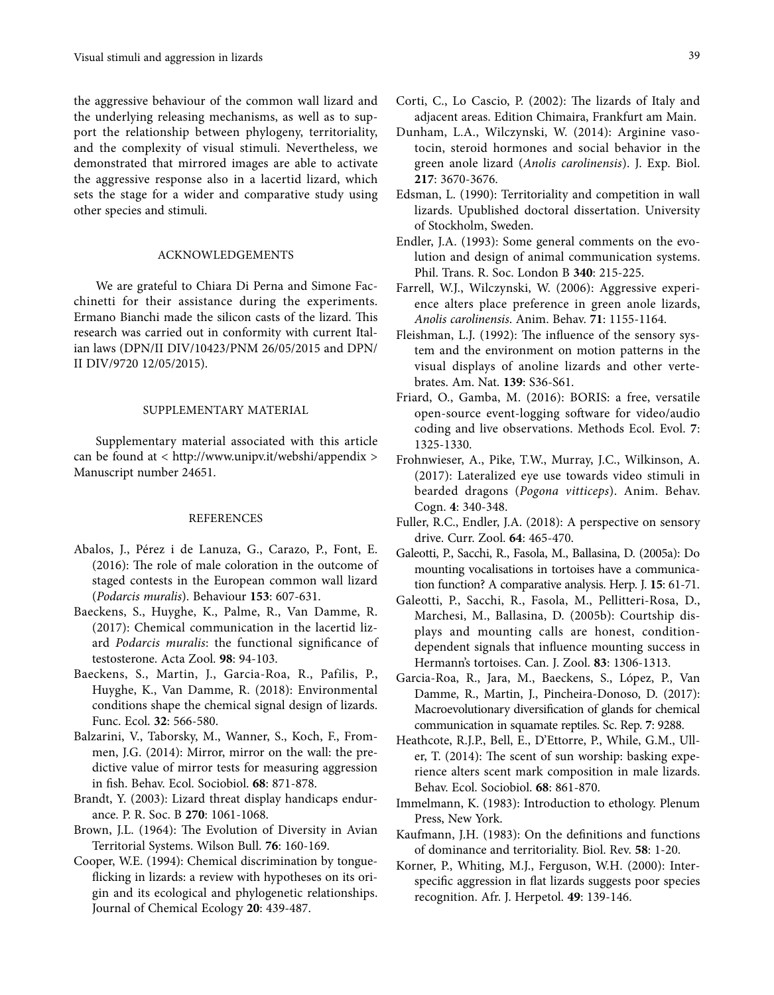the aggressive behaviour of the common wall lizard and the underlying releasing mechanisms, as well as to support the relationship between phylogeny, territoriality, and the complexity of visual stimuli. Nevertheless, we demonstrated that mirrored images are able to activate the aggressive response also in a lacertid lizard, which sets the stage for a wider and comparative study using other species and stimuli.

### ACKNOWLEDGEMENTS

We are grateful to Chiara Di Perna and Simone Facchinetti for their assistance during the experiments. Ermano Bianchi made the silicon casts of the lizard. This research was carried out in conformity with current Italian laws (DPN/II DIV/10423/PNM 26/05/2015 and DPN/ II DIV/9720 12/05/2015).

#### SUPPLEMENTARY MATERIAL

Supplementary material associated with this article can be found at < http://www.unipv.it/webshi/appendix > Manuscript number 24651.

#### **REFERENCES**

- Abalos, J., Pérez i de Lanuza, G., Carazo, P., Font, E. (2016): The role of male coloration in the outcome of staged contests in the European common wall lizard (*Podarcis muralis*). Behaviour **153**: 607-631.
- Baeckens, S., Huyghe, K., Palme, R., Van Damme, R. (2017): Chemical communication in the lacertid lizard *Podarcis muralis*: the functional significance of testosterone. Acta Zool. **98**: 94-103.
- Baeckens, S., Martin, J., Garcia-Roa, R., Pafilis, P., Huyghe, K., Van Damme, R. (2018): Environmental conditions shape the chemical signal design of lizards. Func. Ecol. **32**: 566-580.
- Balzarini, V., Taborsky, M., Wanner, S., Koch, F., Frommen, J.G. (2014): Mirror, mirror on the wall: the predictive value of mirror tests for measuring aggression in fish. Behav. Ecol. Sociobiol. **68**: 871-878.
- Brandt, Y. (2003): Lizard threat display handicaps endurance. P. R. Soc. B **270**: 1061-1068.
- Brown, J.L. (1964): The Evolution of Diversity in Avian Territorial Systems. Wilson Bull. **76**: 160-169.
- Cooper, W.E. (1994): Chemical discrimination by tongueflicking in lizards: a review with hypotheses on its origin and its ecological and phylogenetic relationships. Journal of Chemical Ecology **20**: 439-487.
- Corti, C., Lo Cascio, P. (2002): The lizards of Italy and adjacent areas. Edition Chimaira, Frankfurt am Main.
- Dunham, L.A., Wilczynski, W. (2014): Arginine vasotocin, steroid hormones and social behavior in the green anole lizard (*Anolis carolinensis*). J. Exp. Biol. **217**: 3670-3676.
- Edsman, L. (1990): Territoriality and competition in wall lizards. Upublished doctoral dissertation. University of Stockholm, Sweden.
- Endler, J.A. (1993): Some general comments on the evolution and design of animal communication systems. Phil. Trans. R. Soc. London B **340**: 215-225.
- Farrell, W.J., Wilczynski, W. (2006): Aggressive experience alters place preference in green anole lizards, *Anolis carolinensis*. Anim. Behav. **71**: 1155-1164.
- Fleishman, L.J. (1992): The influence of the sensory system and the environment on motion patterns in the visual displays of anoline lizards and other vertebrates. Am. Nat. **139**: S36-S61.
- Friard, O., Gamba, M. (2016): BORIS: a free, versatile open-source event-logging software for video/audio coding and live observations. Methods Ecol. Evol. **7**: 1325-1330.
- Frohnwieser, A., Pike, T.W., Murray, J.C., Wilkinson, A. (2017): Lateralized eye use towards video stimuli in bearded dragons (*Pogona vitticeps*). Anim. Behav. Cogn. **4**: 340-348.
- Fuller, R.C., Endler, J.A. (2018): A perspective on sensory drive. Curr. Zool. **64**: 465-470.
- Galeotti, P., Sacchi, R., Fasola, M., Ballasina, D. (2005a): Do mounting vocalisations in tortoises have a communication function? A comparative analysis. Herp. J. **15**: 61-71.
- Galeotti, P., Sacchi, R., Fasola, M., Pellitteri-Rosa, D., Marchesi, M., Ballasina, D. (2005b): Courtship displays and mounting calls are honest, conditiondependent signals that influence mounting success in Hermann's tortoises. Can. J. Zool. **83**: 1306-1313.
- Garcia-Roa, R., Jara, M., Baeckens, S., López, P., Van Damme, R., Martin, J., Pincheira-Donoso, D. (2017): Macroevolutionary diversification of glands for chemical communication in squamate reptiles. Sc. Rep. **7**: 9288.
- Heathcote, R.J.P., Bell, E., D'Ettorre, P., While, G.M., Uller, T. (2014): The scent of sun worship: basking experience alters scent mark composition in male lizards. Behav. Ecol. Sociobiol. **68**: 861-870.
- Immelmann, K. (1983): Introduction to ethology. Plenum Press, New York.
- Kaufmann, J.H. (1983): On the definitions and functions of dominance and territoriality. Biol. Rev. **58**: 1-20.
- Korner, P., Whiting, M.J., Ferguson, W.H. (2000): Interspecific aggression in flat lizards suggests poor species recognition. Afr. J. Herpetol. **49**: 139-146.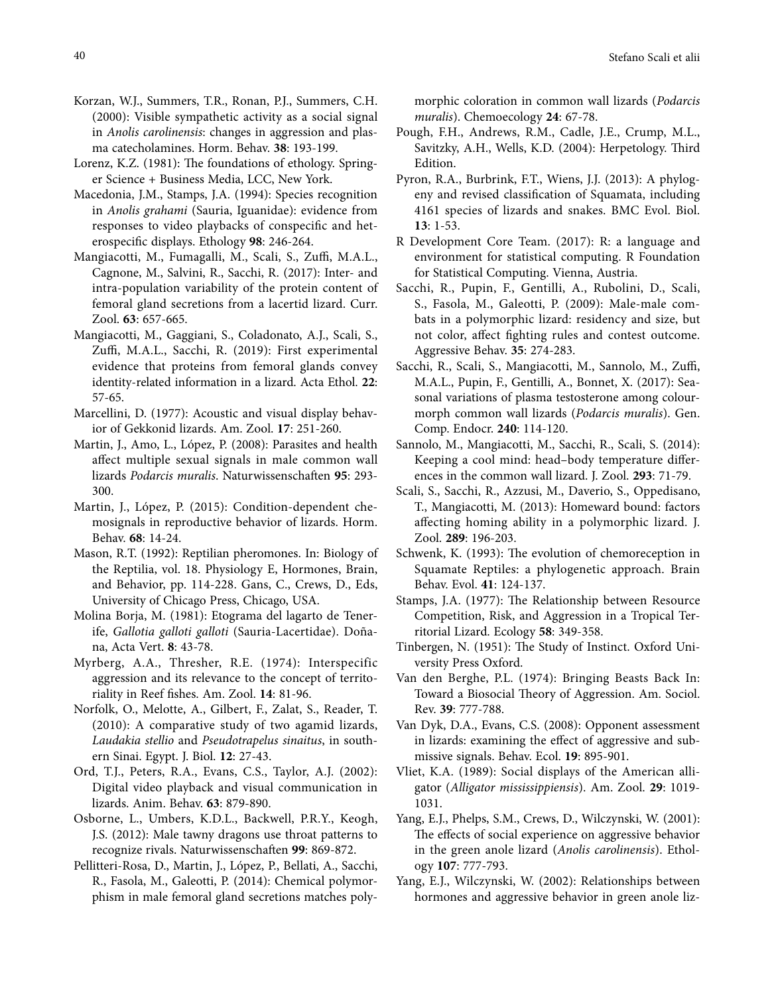- Korzan, W.J., Summers, T.R., Ronan, P.J., Summers, C.H. (2000): Visible sympathetic activity as a social signal in *Anolis carolinensis*: changes in aggression and plasma catecholamines. Horm. Behav. **38**: 193-199.
- Lorenz, K.Z. (1981): The foundations of ethology. Springer Science + Business Media, LCC, New York.
- Macedonia, J.M., Stamps, J.A. (1994): Species recognition in *Anolis grahami* (Sauria, Iguanidae): evidence from responses to video playbacks of conspecific and heterospecific displays. Ethology **98**: 246-264.
- Mangiacotti, M., Fumagalli, M., Scali, S., Zuffi, M.A.L., Cagnone, M., Salvini, R., Sacchi, R. (2017): Inter- and intra-population variability of the protein content of femoral gland secretions from a lacertid lizard. Curr. Zool. **63**: 657-665.
- Mangiacotti, M., Gaggiani, S., Coladonato, A.J., Scali, S., Zuffi, M.A.L., Sacchi, R. (2019): First experimental evidence that proteins from femoral glands convey identity-related information in a lizard. Acta Ethol. **22**: 57-65.
- Marcellini, D. (1977): Acoustic and visual display behavior of Gekkonid lizards. Am. Zool. **17**: 251-260.
- Martin, J., Amo, L., López, P. (2008): Parasites and health affect multiple sexual signals in male common wall lizards *Podarcis muralis*. Naturwissenschaften **95**: 293- 300.
- Martin, J., López, P. (2015): Condition-dependent chemosignals in reproductive behavior of lizards. Horm. Behav. **68**: 14-24.
- Mason, R.T. (1992): Reptilian pheromones. In: Biology of the Reptilia, vol. 18. Physiology E, Hormones, Brain, and Behavior, pp. 114-228. Gans, C., Crews, D., Eds, University of Chicago Press, Chicago, USA.
- Molina Borja, M. (1981): Etograma del lagarto de Tenerife, *Gallotia galloti galloti* (Sauria-Lacertidae). Doñana, Acta Vert. **8**: 43-78.
- Myrberg, A.A., Thresher, R.E. (1974): Interspecific aggression and its relevance to the concept of territoriality in Reef fishes. Am. Zool. **14**: 81-96.
- Norfolk, O., Melotte, A., Gilbert, F., Zalat, S., Reader, T. (2010): A comparative study of two agamid lizards, *Laudakia stellio* and *Pseudotrapelus sinaitus*, in southern Sinai. Egypt. J. Biol. **12**: 27-43.
- Ord, T.J., Peters, R.A., Evans, C.S., Taylor, A.J. (2002): Digital video playback and visual communication in lizards. Anim. Behav. **63**: 879-890.
- Osborne, L., Umbers, K.D.L., Backwell, P.R.Y., Keogh, J.S. (2012): Male tawny dragons use throat patterns to recognize rivals. Naturwissenschaften **99**: 869-872.
- Pellitteri-Rosa, D., Martin, J., López, P., Bellati, A., Sacchi, R., Fasola, M., Galeotti, P. (2014): Chemical polymorphism in male femoral gland secretions matches poly-

morphic coloration in common wall lizards (*Podarcis muralis*). Chemoecology **24**: 67-78.

- Pough, F.H., Andrews, R.M., Cadle, J.E., Crump, M.L., Savitzky, A.H., Wells, K.D. (2004): Herpetology. Third Edition.
- Pyron, R.A., Burbrink, F.T., Wiens, J.J. (2013): A phylogeny and revised classification of Squamata, including 4161 species of lizards and snakes. BMC Evol. Biol. **13**: 1-53.
- R Development Core Team. (2017): R: a language and environment for statistical computing. R Foundation for Statistical Computing. Vienna, Austria.
- Sacchi, R., Pupin, F., Gentilli, A., Rubolini, D., Scali, S., Fasola, M., Galeotti, P. (2009): Male-male combats in a polymorphic lizard: residency and size, but not color, affect fighting rules and contest outcome. Aggressive Behav. **35**: 274-283.
- Sacchi, R., Scali, S., Mangiacotti, M., Sannolo, M., Zuffi, M.A.L., Pupin, F., Gentilli, A., Bonnet, X. (2017): Seasonal variations of plasma testosterone among colourmorph common wall lizards (*Podarcis muralis*). Gen. Comp. Endocr. **240**: 114-120.
- Sannolo, M., Mangiacotti, M., Sacchi, R., Scali, S. (2014): Keeping a cool mind: head–body temperature differences in the common wall lizard. J. Zool. **293**: 71-79.
- Scali, S., Sacchi, R., Azzusi, M., Daverio, S., Oppedisano, T., Mangiacotti, M. (2013): Homeward bound: factors affecting homing ability in a polymorphic lizard. J. Zool. **289**: 196-203.
- Schwenk, K. (1993): The evolution of chemoreception in Squamate Reptiles: a phylogenetic approach. Brain Behav. Evol. **41**: 124-137.
- Stamps, J.A. (1977): The Relationship between Resource Competition, Risk, and Aggression in a Tropical Territorial Lizard. Ecology **58**: 349-358.
- Tinbergen, N. (1951): The Study of Instinct. Oxford University Press Oxford.
- Van den Berghe, P.L. (1974): Bringing Beasts Back In: Toward a Biosocial Theory of Aggression. Am. Sociol. Rev. **39**: 777-788.
- Van Dyk, D.A., Evans, C.S. (2008): Opponent assessment in lizards: examining the effect of aggressive and submissive signals. Behav. Ecol. **19**: 895-901.
- Vliet, K.A. (1989): Social displays of the American alligator (*Alligator mississippiensis*). Am. Zool. **29**: 1019- 1031.
- Yang, E.J., Phelps, S.M., Crews, D., Wilczynski, W. (2001): The effects of social experience on aggressive behavior in the green anole lizard (*Anolis carolinensis*). Ethology **107**: 777-793.
- Yang, E.J., Wilczynski, W. (2002): Relationships between hormones and aggressive behavior in green anole liz-